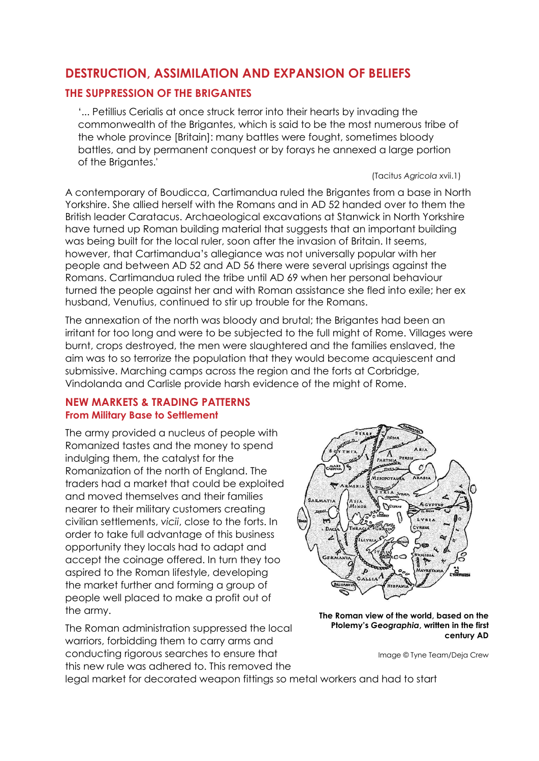# **DESTRUCTION, ASSIMILATION AND EXPANSION OF BELIEFS**

## **THE SUPPRESSION OF THE BRIGANTES**

'... Petillius Cerialis at once struck terror into their hearts by invading the commonwealth of the Brigantes, which is said to be the most numerous tribe of the whole province [Britain]: many battles were fought, sometimes bloody battles, and by permanent conquest or by forays he annexed a large portion of the Brigantes.'

(Tacitus *Agricola* xvii.1)

A contemporary of Boudicca, Cartimandua ruled the Brigantes from a base in North Yorkshire. She allied herself with the Romans and in AD 52 handed over to them the British leader Caratacus. Archaeological excavations at Stanwick in North Yorkshire have turned up Roman building material that suggests that an important building was being built for the local ruler, soon after the invasion of Britain. It seems, however, that Cartimandua's allegiance was not universally popular with her people and between AD 52 and AD 56 there were several uprisings against the Romans. Cartimandua ruled the tribe until AD 69 when her personal behaviour turned the people against her and with Roman assistance she fled into exile; her ex husband, Venutius, continued to stir up trouble for the Romans.

The annexation of the north was bloody and brutal; the Brigantes had been an irritant for too long and were to be subjected to the full might of Rome. Villages were burnt, crops destroyed, the men were slaughtered and the families enslaved, the aim was to so terrorize the population that they would become acquiescent and submissive. Marching camps across the region and the forts at Corbridge, Vindolanda and Carlisle provide harsh evidence of the might of Rome.

#### **NEW MARKETS & TRADING PATTERNS From Military Base to Settlement**

The army provided a nucleus of people with Romanized tastes and the money to spend indulging them, the catalyst for the Romanization of the north of England. The traders had a market that could be exploited and moved themselves and their families nearer to their military customers creating civilian settlements, *vicii*, close to the forts. In order to take full advantage of this business opportunity they locals had to adapt and accept the coinage offered. In turn they too aspired to the Roman lifestyle, developing the market further and forming a group of people well placed to make a profit out of the army.

The Roman administration suppressed the local warriors, forbidding them to carry arms and conducting rigorous searches to ensure that this new rule was adhered to. This removed the



**The Roman view of the world, based on the Ptolemy's** *Geographia***, written in the first century AD**

Image © Tyne Team/Deja Crew

legal market for decorated weapon fittings so metal workers and had to start